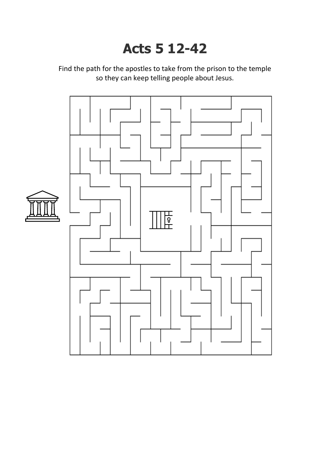## **Acts 5 12-42**

Find the path for the apostles to take from the prison to the temple so they can keep telling people about Jesus.

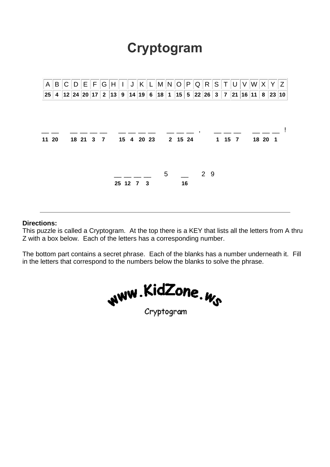## **Cryptogram**



## **Directions:**

This puzzle is called a Cryptogram. At the top there is a KEY that lists all the letters from A thru Z with a box below. Each of the letters has a corresponding number.

The bottom part contains a secret phrase. Each of the blanks has a number underneath it. Fill in the letters that correspond to the numbers below the blanks to solve the phrase.

ww.KidZone.<sub>Ws</sub> Cryptogram